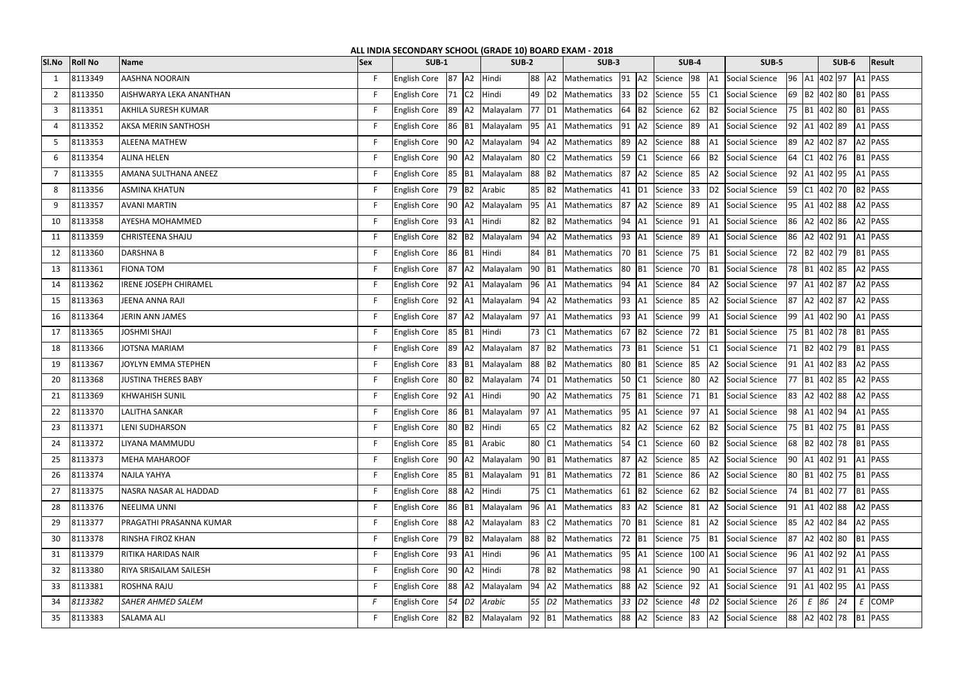| ALL INDIA SECONDARY SCHOOL (GRADE 10) BOARD EXAM - 2018<br><b>Result</b><br><b>SUB-4</b> |                |                              |            |                                                             |    |         |                 |  |  |                                                                                               |  |  |               |                     |                |    |                                |  |                     |  |
|------------------------------------------------------------------------------------------|----------------|------------------------------|------------|-------------------------------------------------------------|----|---------|-----------------|--|--|-----------------------------------------------------------------------------------------------|--|--|---------------|---------------------|----------------|----|--------------------------------|--|---------------------|--|
| SI.No                                                                                    | <b>Roll No</b> | Name                         | <b>Sex</b> | <b>SUB-1</b>                                                |    | $SUB-2$ |                 |  |  | SUB-3                                                                                         |  |  | SUB-5         | $SUB-6$             |                |    |                                |  |                     |  |
| -1                                                                                       | 8113349        | <b>AASHNA NOORAIN</b>        | F.         | English Core   87   A2   Hindi                              |    |         |                 |  |  | 88 A2 Mathematics 91 A2 Science 98 A1                                                         |  |  |               |                     | Social Science |    | 96   A1   402   97   A1   PASS |  |                     |  |
| $\overline{2}$                                                                           | 8113350        | AISHWARYA LEKA ANANTHAN      | F.         | English Core   71   C2                                      |    |         | Hindi           |  |  | 49 D2 Mathematics 33 D2 Science 55 C1                                                         |  |  |               |                     | Social Science |    | 69 B2 402 80                   |  | B <sub>1</sub> PASS |  |
| 3                                                                                        | 8113351        | <b>AKHILA SURESH KUMAR</b>   | F.         | <b>English Core</b>                                         |    |         |                 |  |  | 89 A2 Malayalam 77 D1 Mathematics 64 B2 Science                                               |  |  |               | 62 B2               | Social Science |    | 75 B1 402 80                   |  | B <sub>1</sub> PASS |  |
| 4                                                                                        | 8113352        | <b>AKSA MERIN SANTHOSH</b>   | F.         |                                                             |    |         |                 |  |  | English Core 86 B1 Malayalam 95 A1 Mathematics 91 A2 Science 89 A1                            |  |  |               |                     | Social Science |    | 92 A1 402 89                   |  | A <sub>1</sub> PASS |  |
| -5                                                                                       | 8113353        | <b>ALEENA MATHEW</b>         | F.         | <b>English Core</b>                                         |    |         |                 |  |  | 90   A2   Malayalam   94   A2   Mathematics   89   A2   Science   88   A1                     |  |  |               |                     | Social Science |    | 89 A2 402 87                   |  | A2 PASS             |  |
| 6                                                                                        | 8113354        | <b>ALINA HELEN</b>           | F.         | <b>English Core</b>                                         |    |         |                 |  |  | 90   A2   Malayalam   80   C2   Mathematics   59   C1   Science   66   B2                     |  |  |               |                     | Social Science |    | 64 C1 402 76 B1 PASS           |  |                     |  |
| $\overline{7}$                                                                           | 8113355        | AMANA SULTHANA ANEEZ         | F.         | <b>English Core</b>                                         |    |         |                 |  |  | 85 B1 Malayalam 88 B2 Mathematics 87 A2 Science                                               |  |  |               | 85 A2               | Social Science |    | 92 A1 402 95                   |  | A1 PASS             |  |
| 8                                                                                        | 8113356        | <b>ASMINA KHATUN</b>         | F.         | English Core 79 B2 Arabic                                   |    |         |                 |  |  | 85 B2 Mathematics 41 D1 Science 33 D2 Social Science                                          |  |  |               |                     |                |    | 59 C1 402 70                   |  | B <sub>2</sub> PASS |  |
| -9                                                                                       | 8113357        | <b>AVANI MARTIN</b>          | F.         | <b>English Core</b>                                         |    |         |                 |  |  | 90 A2 Malayalam 95 A1 Mathematics 87 A2 Science 89 A1 Social Science                          |  |  |               |                     |                |    | 95   A1   402   88   A2   PASS |  |                     |  |
| 10                                                                                       | 8113358        | <b>AYESHA MOHAMMED</b>       | F.         | <b>English Core</b>                                         |    | 93 A1   | Hindi           |  |  | 82 B2 Mathematics 94 A1 Science 91 A1                                                         |  |  |               |                     | Social Science |    | 86 A2 402 86                   |  | A2 PASS             |  |
| 11                                                                                       | 8113359        | <b>CHRISTEENA SHAJU</b>      | F.         | <b>English Core</b>                                         |    |         | 82 B2 Malayalam |  |  | 94 A2 Mathematics 93 A1 Science                                                               |  |  |               | 89 A1               | Social Science |    | 86 A2 402 91                   |  | $A1$ PASS           |  |
| 12                                                                                       | 8113360        | <b>DARSHNA B</b>             | F.         | English Core 86 B1 Hindi                                    |    |         |                 |  |  | 84 B1 Mathematics 70 B1 Science 75 B1                                                         |  |  |               |                     | Social Science |    | 72 B2 402 79                   |  | B <sub>1</sub> PASS |  |
| 13                                                                                       | 8113361        | <b>FIONA TOM</b>             | F.         | <b>English Core</b>                                         |    | 87 A2   |                 |  |  | Malayalam 90 B1 Mathematics 80 B1 Science 70 B1                                               |  |  |               |                     | Social Science |    | 78 B1 402 85                   |  | A2 PASS             |  |
| 14                                                                                       | 8113362        | <b>IRENE JOSEPH CHIRAMEL</b> | F.         |                                                             |    |         |                 |  |  | English Core  92  A1  Malayalam  96  A1  Mathematics  94  A1  Science  84  A2  Social Science |  |  |               |                     |                |    | 97 A1 402 87                   |  | A2 PASS             |  |
| 15                                                                                       | 8113363        | JEENA ANNA RAJI              | F.         |                                                             |    |         |                 |  |  | English Core   92   A1   Malayalam   94   A2   Mathematics   93   A1   Science   85   A2      |  |  |               |                     | Social Science |    | 87 A2 402 87                   |  | A2 PASS             |  |
| 16                                                                                       | 8113364        | JERIN ANN JAMES              | F.         | <b>English Core</b>                                         |    |         |                 |  |  | 87   A2   Malayalam   97   A1   Mathematics   93   A1   Science   99   A1                     |  |  |               |                     | Social Science |    | 99 A1 402 90                   |  | A1 PASS             |  |
| 17                                                                                       | 8113365        | <b>JOSHMI SHAJI</b>          | F.         | <b>English Core</b>                                         |    | 85 B1   | Hindi           |  |  | 73 C1 Mathematics 67 B2 Science 72 B1                                                         |  |  |               |                     | Social Science |    | 75   B1   402   78   B1   PASS |  |                     |  |
| 18                                                                                       | 8113366        | <b>JOTSNA MARIAM</b>         | F.         | <b>English Core</b>                                         |    |         |                 |  |  | 89 A2 Malayalam 87 B2 Mathematics 73 B1 Science 51 C1                                         |  |  |               |                     | Social Science |    | 71 B2 402 79                   |  | B <sub>1</sub> PASS |  |
| 19                                                                                       | 8113367        | JOYLYN EMMA STEPHEN          | F.         | <b>English Core</b>                                         |    |         |                 |  |  | 83 B1 Malayalam 88 B2 Mathematics 80 B1                                                       |  |  | Science 85 A2 |                     | Social Science |    | 91 A1 402 83                   |  | A2 PASS             |  |
| 20                                                                                       | 8113368        | <b>JUSTINA THERES BABY</b>   | F.         | <b>English Core</b>                                         |    |         |                 |  |  | 80 B2 Malayalam 74 D1 Mathematics 50 C1 Science 80 A2                                         |  |  |               |                     | Social Science |    | 77   B1   402   85   A2   PASS |  |                     |  |
| 21                                                                                       | 8113369        | <b>KHWAHISH SUNIL</b>        | F.         | English Core 92 A1                                          |    |         | Hindi           |  |  | 90 A2 Mathematics 75 B1 Science 71 B1                                                         |  |  |               |                     | Social Science |    | 83 A2 402 88                   |  | A2 PASS             |  |
| 22                                                                                       | 8113370        | <b>LALITHA SANKAR</b>        |            |                                                             |    |         |                 |  |  | English Core 86 B1 Malayalam 97 A1 Mathematics 95 A1 Science 97 A1 Social Science             |  |  |               |                     |                |    | 98  A1  402  94  A1  PASS      |  |                     |  |
| 23                                                                                       | 8113371        | <b>LENI SUDHARSON</b>        | F.         | English Core   80   B2   Hindi                              |    |         |                 |  |  | 65 C2 Mathematics 82 A2 Science 62 B2                                                         |  |  |               |                     | Social Science |    | 75  B1  402  75  B1  PASS      |  |                     |  |
| 24                                                                                       | 8113372        | LIYANA MAMMUDU               | F.         | <b>English Core</b>                                         |    | 85 B1   | Arabic          |  |  | 80 C1 Mathematics 54 C1 Science 60 B2                                                         |  |  |               |                     | Social Science |    | 68 B2 402 78 B1 PASS           |  |                     |  |
| 25                                                                                       | 8113373        | MEHA MAHAROOF                | F.         | English Core 90 A2 Malayalam                                |    |         |                 |  |  | 90 B1 Mathematics 87 A2 Science 85 A2 Social Science                                          |  |  |               |                     |                |    | 90 A1 402 91                   |  | A1 PASS             |  |
| 26                                                                                       | 8113374        | <b>NAJLA YAHYA</b>           | F.         | <b>English Core</b>                                         |    |         |                 |  |  | 85 B1 Malayalam 91 B1 Mathematics 72 B1 Science                                               |  |  |               | 86 A2               | Social Science |    | 80   B1   402   75   B1   PASS |  |                     |  |
| 27                                                                                       | 8113375        | NASRA NASAR AL HADDAD        | F.         | English Core 88 A2 Hindi                                    |    |         |                 |  |  | 75 C1 Mathematics 61 B2 Science                                                               |  |  |               | 62 B2               | Social Science |    | 74   B1   402   77             |  | B <sub>1</sub> PASS |  |
| 28                                                                                       | 8113376        | <b>NEELIMA UNNI</b>          | F.         | <b>English Core</b>                                         |    |         | 86 B1 Malayalam |  |  | 96   A1   Mathematics   83   A2   Science   81   A2   Social Science                          |  |  |               |                     |                |    | 91 A1 402 88                   |  | A2 PASS             |  |
| 29                                                                                       | 8113377        | PRAGATHI PRASANNA KUMAR      | F.         | <b>English Core</b>                                         |    |         |                 |  |  | 88 A2 Malayalam 83 C2 Mathematics 70 B1 Science 81 A2 Social Science                          |  |  |               |                     |                |    | 85   A2   402   84   A2   PASS |  |                     |  |
| 30                                                                                       | 8113378        | <b>RINSHA FIROZ KHAN</b>     | F          | <b>English Core</b>                                         |    |         |                 |  |  | 79   B2   Malayalam   88   B2   Mathematics   72   B1   Science   75   B1                     |  |  |               |                     | Social Science | 87 | A2 402 80                      |  | B <sub>1</sub> PASS |  |
| 31                                                                                       | 8113379        | <b>RITIKA HARIDAS NAIR</b>   | F.         | English Core   93   A1   Hindi                              |    |         |                 |  |  | 96   A1   Mathematics   95   A1   Science   100   A1                                          |  |  |               |                     | Social Science |    | 96   A1   402   92   A1   PASS |  |                     |  |
| 32                                                                                       | 8113380        | RIYA SRISAILAM SAILESH       | F.         | <b>English Core</b>                                         |    |         | 90 A2 Hindi     |  |  | 78 B2 Mathematics 98 A1 Science 90 A1                                                         |  |  |               |                     | Social Science |    | 97   A1   402   91   A1   PASS |  |                     |  |
| 33                                                                                       | 8113381        | <b>ROSHNA RAJU</b>           | F.         | English Core 88 A2 Malayalam                                |    |         |                 |  |  | 94 A2 Mathematics 88 A2 Science 92 A1                                                         |  |  |               |                     | Social Science |    | $\vert$ 91   A1   402   95     |  | A1 PASS             |  |
| 34                                                                                       | 8113382        | <b>SAHER AHMED SALEM</b>     | F          | English Core $\begin{vmatrix} 54 & D2 \end{vmatrix}$ Arabic |    |         |                 |  |  | 55 D2 Mathematics 33 D2 Science                                                               |  |  |               | $48$ D <sub>2</sub> | Social Science |    | $26 \mid E \mid 86 \mid 24$    |  | $E$ COMP            |  |
| 35                                                                                       | 8113383        | <b>SALAMA ALI</b>            | F.         | <b>English Core</b>                                         | 82 |         | B2 Malayalam    |  |  | 92 B1 Mathematics 88 A2 Science 83 A2 Social Science                                          |  |  |               |                     |                |    | 88 A2 402 78 B1 PASS           |  |                     |  |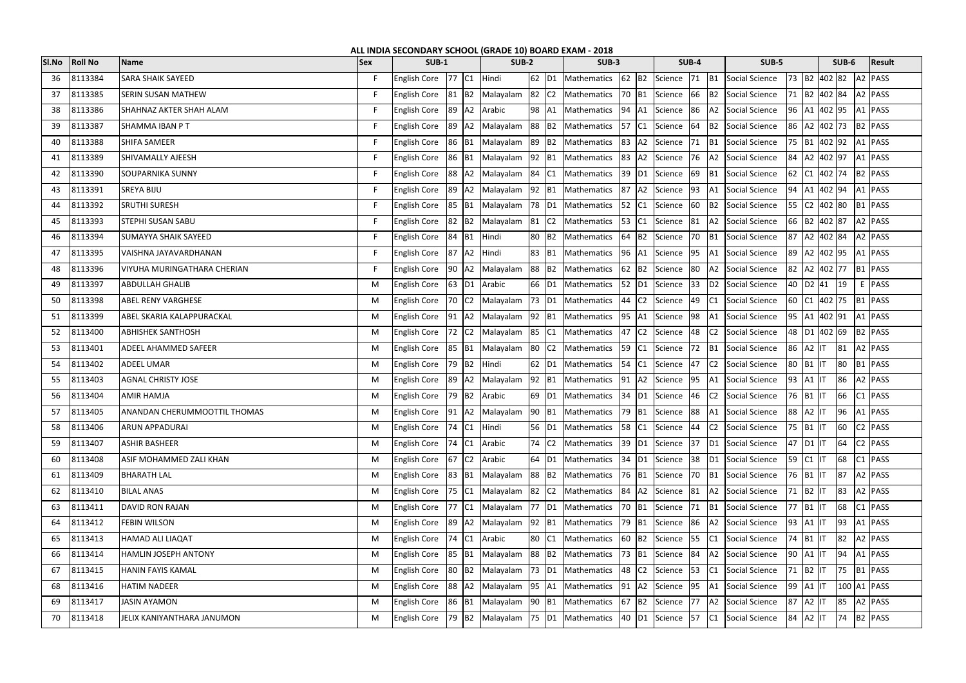| ALL INDIA SECONDARY SCHOOL (GRADE 10) BOARD EXAM - 2018 |                |                                     |            |                              |                                                                         |  |                               |                     |       |                                                                                             |       |               |                             |    |                                                                                                       |                        |              |             |                                                      |
|---------------------------------------------------------|----------------|-------------------------------------|------------|------------------------------|-------------------------------------------------------------------------|--|-------------------------------|---------------------|-------|---------------------------------------------------------------------------------------------|-------|---------------|-----------------------------|----|-------------------------------------------------------------------------------------------------------|------------------------|--------------|-------------|------------------------------------------------------|
| SI.No                                                   | <b>Roll No</b> | <b>Name</b>                         | <b>Sex</b> |                              | <b>SUB-1</b><br>$SUB-2$<br><b>SUB-3</b><br><b>SUB-4</b><br><b>SUB-5</b> |  |                               |                     |       |                                                                                             | SUB-6 | <b>Result</b> |                             |    |                                                                                                       |                        |              |             |                                                      |
| 36                                                      | 8113384        | <b>SARA SHAIK SAYEED</b>            | F.         | English Core 77 C1 Hindi     |                                                                         |  |                               |                     |       |                                                                                             |       |               |                             |    | 62   D1   Mathematics   62   B2   Science   71   B1   Social Science                                  |                        |              |             | 73  B2  402  82  A2  PASS                            |
| 37                                                      | 8113385        | <b>SERIN SUSAN MATHEW</b>           | F.         | <b>English Core</b>          |                                                                         |  | 81 B2 Malayalam               | $82$ C <sub>2</sub> |       | Mathematics 70 B1 Science 66 B2 Social Science                                              |       |               |                             |    |                                                                                                       |                        |              |             | 71 B2 402 84 A2 PASS                                 |
| 38                                                      | 8113386        | SHAHNAZ AKTER SHAH ALAM             | F.         | English Core                 |                                                                         |  | 89 A2 Arabic                  |                     | 98 A1 | Mathematics 94 A1 Science 86                                                                |       |               |                             |    | A2 Social Science                                                                                     |                        |              |             | 96   A1   402   95   A1   PASS                       |
| 39                                                      | 8113387        | SHAMMA IBAN PT                      | F          | <b>English Core</b>          |                                                                         |  | 89 A2 Malayalam               | 88 B2               |       | Mathematics 57 C1 Science 64                                                                |       |               |                             |    | B2 Social Science                                                                                     |                        |              |             | 86 A2 402 73 B2 PASS                                 |
| 40                                                      | 8113388        | SHIFA SAMEER                        | F          | English Core                 |                                                                         |  |                               |                     |       | 86 B1 Malayalam 89 B2 Mathematics 83 A2 Science 71 B1 Social Science                        |       |               |                             |    |                                                                                                       |                        |              |             | 75   B1   402   92   A1   PASS                       |
| 41                                                      | 8113389        | SHIVAMALLY AJEESH                   | F.         | <b>English Core</b>          |                                                                         |  | 86 B1 Malayalam 92 B1         |                     |       | Mathematics 83 A2 Science 76 A2 Social Science                                              |       |               |                             |    |                                                                                                       |                        |              |             | 84   A2   402   97   A1   PASS                       |
| 42                                                      | 8113390        | SOUPARNIKA SUNNY                    | F.         | <b>English Core</b>          |                                                                         |  | 88 A2 Malayalam               | 84 C1               |       | Mathematics                                                                                 |       |               |                             |    | 39 D1 Science 69 B1 Social Science                                                                    |                        |              |             | 62 C1 402 74 B2 PASS                                 |
| 43                                                      | 8113391        | SREYA BIJU                          | F          | <b>English Core</b>          |                                                                         |  |                               |                     |       |                                                                                             |       |               |                             |    | 89 A2 Malayalam 92 B1 Mathematics 87 A2 Science 93 A1 Social Science                                  |                        |              |             | 94  A1  402  94  A1  PASS                            |
| 44                                                      | 8113392        | <b>SRUTHI SURESH</b>                | F.         | <b>English Core</b>          |                                                                         |  |                               |                     |       | [85   B1   Malayalam   78   D1   Mathematics   52   C1   Science   60   B2   Social Science |       |               |                             |    |                                                                                                       |                        |              |             | 55   C2   402   80   B1   PASS                       |
| 45                                                      | 8113393        | STEPHI SUSAN SABU                   | F.         | <b>English Core</b>          |                                                                         |  | 82 B2 Malayalam               |                     | 81 C2 | Mathematics                                                                                 |       |               |                             |    | 53 C1 Science 81 A2 Social Science                                                                    |                        |              |             | 66 B2 402 87 A2 PASS                                 |
| 46                                                      | 8113394        | SUMAYYA SHAIK SAYEED                | F          | <b>English Core</b>          |                                                                         |  | 84 B1 Hindi                   |                     | 80 B2 | Mathematics                                                                                 |       |               |                             |    | 64 B2 Science 70 B1 Social Science                                                                    |                        |              |             | 87 A2 402 84 A2 PASS                                 |
| 47                                                      | 8113395        | VAISHNA JAYAVARDHANAN               | F          | <b>English Core</b>          |                                                                         |  | 87 A2 Hindi                   | 83 B1               |       |                                                                                             |       |               |                             |    | Mathematics 96 A1 Science 95 A1 Social Science                                                        |                        |              |             | 89 A2 402 95 A1 PASS                                 |
| 48                                                      | 8113396        | VIYUHA MURINGATHARA CHERIAN         | F          | <b>English Core</b>          |                                                                         |  | 90 A2 Malayalam               |                     |       | 88 B2 Mathematics                                                                           |       |               |                             |    | 62 B2 Science 80 A2 Social Science                                                                    |                        |              |             | 82   A2   402   77   B1   PASS                       |
| 49                                                      | 8113397        | <b>ABDULLAH GHALIB</b>              | M          | <b>English Core</b>          |                                                                         |  | 63 D1 Arabic                  |                     |       | 66 D1 Mathematics                                                                           |       |               |                             |    | 52 D1 Science 33 D2 Social Science                                                                    |                        |              | 40 D2 41 19 | E PASS                                               |
| 50                                                      | 8113398        | ABEL RENY VARGHESE                  | M          | <b>English Core</b>          |                                                                         |  | 70 C2 Malayalam               |                     |       | 73 D1 Mathematics                                                                           |       |               |                             |    | 44 C2 Science 49 C1 Social Science                                                                    |                        |              |             | 60 C1 402 75 B1 PASS                                 |
| 51                                                      | 8113399        | ABEL SKARIA KALAPPURACKAL           | M          | <b>English Core</b>          |                                                                         |  |                               |                     |       | 91 A2 Malayalam 92 B1 Mathematics                                                           |       |               |                             |    | [95 A1 Science 98 A1 Social Science                                                                   |                        |              |             | 95   A1   402   91   A1   PASS                       |
| 52                                                      | 8113400        | <b>ABHISHEK SANTHOSH</b>            | M          | <b>English Core</b>          |                                                                         |  | $ 72 C2 $ Malayalam $ 85 C1 $ |                     |       | Mathematics                                                                                 |       |               | 47 C2 Science 48 C2         |    | Social Science                                                                                        |                        |              |             | 48 D1 402 69 B2 PASS                                 |
| 53                                                      | 8113401        | ADEEL AHAMMED SAFEER                | M          | <b>English Core</b>          |                                                                         |  | 85 B1 Malayalam               | 80 C2               |       | Mathematics                                                                                 |       |               |                             |    | 59 C1 Science 72 B1 Social Science                                                                    |                        | 86 A2 IT     |             | 81 A2 PASS                                           |
| 54                                                      | 8113402        | ADEEL UMAR                          | M          | <b>English Core</b>          |                                                                         |  | 79 B2 Hindi                   | 62 D1               |       | Mathematics                                                                                 |       | $54$ C1       | Science 47                  |    | C <sub>2</sub> Social Science                                                                         | 80 B1 IT               |              |             | 80   B1   PASS                                       |
| 55                                                      | 8113403        | <b>AGNAL CHRISTY JOSE</b>           | M          | English Core 89 A2 Malayalam |                                                                         |  |                               | $92$ B1             |       | Mathematics 91 A2 Science 95 A1 Social Science                                              |       |               |                             |    |                                                                                                       | 93 A1 IT               |              |             | 86 A2 PASS                                           |
| 56                                                      | 8113404        | <b>AMIR HAMJA</b>                   | M          | <b>English Core</b>          |                                                                         |  | 79 B2 Arabic                  |                     |       | 69 D1 Mathematics                                                                           |       |               |                             |    | 34 D1 Science 46 C2 Social Science                                                                    |                        | 76   B1   IT |             | 66 C1 PASS                                           |
| 57                                                      | 8113405        | <b>ANANDAN CHERUMMOOTTIL THOMAS</b> | M          |                              |                                                                         |  |                               |                     |       |                                                                                             |       |               |                             |    | English Core 91 A2 Malayalam 90 B1 Mathematics 79 B1 Science 88 A1 Social Science 88 A2 IT 96 A1 PASS |                        |              |             |                                                      |
| 58                                                      | 8113406        | ARUN APPADURAI                      | M          | <b>English Core</b>          |                                                                         |  | $74$ $C1$ Hindi               |                     | 56 D1 | Mathematics 58 C1 Science 44                                                                |       |               |                             |    | C <sub>2</sub> Social Science                                                                         | 75 B1 T                |              |             |                                                      |
| 59                                                      | 8113407        | <b>ASHIR BASHEER</b>                | M          | <b>English Core</b>          |                                                                         |  | 74 C1 Arabic                  |                     | 74 C2 | Mathematics                                                                                 |       |               | 39 D1 Science 37            |    | D1 Social Science                                                                                     | 47 D1 IT               |              |             | $\begin{vmatrix} 64 & 2 \\ 2 & 8 \end{vmatrix}$ PASS |
| 60                                                      | 8113408        | ASIF MOHAMMED ZALI KHAN             | M          | <b>English Core</b>          | 67 C <sub>2</sub>                                                       |  | Arabic                        | 64 D1               |       | Mathematics                                                                                 |       |               |                             |    | 34 D1 Science 38 D1 Social Science                                                                    |                        | 59  C1  IT   |             | 68 C1 PASS                                           |
| 61                                                      | 8113409        | <b>BHARATH LAL</b>                  | M          | <b>English Core</b>          |                                                                         |  | 83 B1 Malayalam               | 88 B2               |       | Mathematics                                                                                 |       |               |                             |    | 76 B1 Science 70 B1 Social Science                                                                    |                        | 76 B1 IT     |             | 87 A2 PASS                                           |
| 62                                                      | 8113410        | <b>BILAL ANAS</b>                   | M          | <b>English Core</b>          |                                                                         |  | 75 C1 Malayalam               | 82 C <sub>2</sub>   |       | Mathematics 84 A2 Science 81                                                                |       |               |                             |    | A2 Social Science                                                                                     | $71$ B <sub>2</sub> IT |              |             | 83 A2 PASS                                           |
| 63                                                      | 8113411        | DAVID RON RAJAN                     | M          | <b>English Core</b>          |                                                                         |  |                               |                     |       | 77 C1 Malayalam 77 D1 Mathematics                                                           |       |               |                             |    | 70   B1   Science   71   B1   Social Science                                                          |                        | 77 B1 IT     |             | $68$ $C1$ PASS                                       |
| 64                                                      | 8113412        | <b>FEBIN WILSON</b>                 | M          | <b>English Core</b>          |                                                                         |  | 89 A2 Malayalam               | $92$ B1             |       | Mathematics                                                                                 |       |               |                             |    | 79 B1 Science 86 A2 Social Science                                                                    | 93 A1 IT               |              |             | $93$ $A1$ PASS                                       |
| 65                                                      | 8113413        | HAMAD ALI LIAQAT                    | M          | <b>English Core</b>          |                                                                         |  | 74 C1 Arabic                  | 80 C1               |       | Mathematics                                                                                 |       |               | 60 B2 Science 55            | C1 | Social Science                                                                                        |                        | 74 B1 IT     |             | 82 A2 PASS                                           |
| 66                                                      | 8113414        | HAMLIN JOSEPH ANTONY                | M          | <b>English Core</b>          |                                                                         |  | 85 B1 Malayalam               | 88 B2               |       | Mathematics  73  B1  Science  84                                                            |       |               |                             |    | A2 Social Science                                                                                     | $90$ $A1$ $IT$         |              |             | $94$ A1 PASS                                         |
| 67                                                      | 8113415        | HANIN FAYIS KAMAL                   | M          | <b>English Core</b>          |                                                                         |  | 80 B2 Malayalam               |                     |       | 73 D1 Mathematics                                                                           |       |               | 48 C2 Science 53 C1         |    | Social Science                                                                                        |                        | 71 B2 IT     |             | 75 B1 PASS                                           |
| 68                                                      | 8113416        | <b>HATIM NADEER</b>                 | M          | <b>English Core</b>          |                                                                         |  | 88 A2 Malayalam               | 95 A1               |       | Mathematics                                                                                 |       |               | 91   A2   Science   95   A1 |    | Social Science                                                                                        | 99 A1 IT               |              |             | 100 A1 PASS                                          |
| 69                                                      | 8113417        | JASIN AYAMON                        | M          | <b>English Core</b>          | 86 B1                                                                   |  | Malayalam                     | 90 B1               |       | Mathematics                                                                                 |       |               | 67 B2 Science 77            |    | A2 Social Science                                                                                     | 87 A2 IT               |              |             | 85 A2 PASS                                           |
| 70                                                      | 8113418        | JELIX KANIYANTHARA JANUMON          | M          | <b>English Core</b>          |                                                                         |  |                               |                     |       | 79 B2 Malayalam 75 D1 Mathematics                                                           |       |               | 40 D1 Science 57            |    | C1 Social Science                                                                                     | 84 A2 IT               |              |             | 74 B2 PASS                                           |